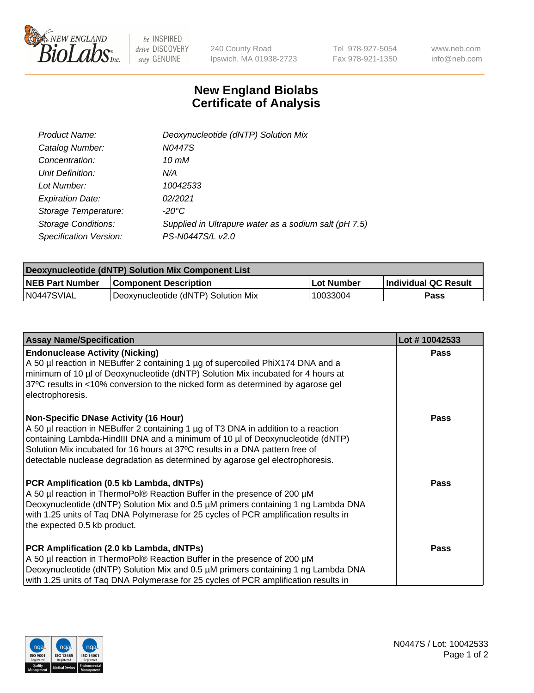

 $be$  INSPIRED drive DISCOVERY stay GENUINE

240 County Road Ipswich, MA 01938-2723 Tel 978-927-5054 Fax 978-921-1350 www.neb.com info@neb.com

## **New England Biolabs Certificate of Analysis**

| Product Name:              | Deoxynucleotide (dNTP) Solution Mix                   |
|----------------------------|-------------------------------------------------------|
| Catalog Number:            | N0447S                                                |
| Concentration:             | 10 mM                                                 |
| Unit Definition:           | N/A                                                   |
| Lot Number:                | 10042533                                              |
| <b>Expiration Date:</b>    | 02/2021                                               |
| Storage Temperature:       | $-20^{\circ}$ C                                       |
| <b>Storage Conditions:</b> | Supplied in Ultrapure water as a sodium salt (pH 7.5) |
| Specification Version:     | PS-N0447S/L v2.0                                      |

| Deoxynucleotide (dNTP) Solution Mix Component List |                                     |            |                             |  |
|----------------------------------------------------|-------------------------------------|------------|-----------------------------|--|
| <b>NEB Part Number</b>                             | <b>Component Description</b>        | Lot Number | <b>Individual QC Result</b> |  |
| IN0447SVIAL                                        | Deoxynucleotide (dNTP) Solution Mix | 10033004   | Pass                        |  |

| <b>Assay Name/Specification</b>                                                                                                                                                                                                                                                                                                                                                | Lot #10042533 |
|--------------------------------------------------------------------------------------------------------------------------------------------------------------------------------------------------------------------------------------------------------------------------------------------------------------------------------------------------------------------------------|---------------|
| <b>Endonuclease Activity (Nicking)</b><br>A 50 µl reaction in NEBuffer 2 containing 1 µg of supercoiled PhiX174 DNA and a<br>minimum of 10 µl of Deoxynucleotide (dNTP) Solution Mix incubated for 4 hours at<br>37°C results in <10% conversion to the nicked form as determined by agarose gel<br>electrophoresis.                                                           | <b>Pass</b>   |
| Non-Specific DNase Activity (16 Hour)<br>A 50 µl reaction in NEBuffer 2 containing 1 µg of T3 DNA in addition to a reaction<br>containing Lambda-HindIII DNA and a minimum of 10 µl of Deoxynucleotide (dNTP)<br>Solution Mix incubated for 16 hours at 37°C results in a DNA pattern free of<br>detectable nuclease degradation as determined by agarose gel electrophoresis. | <b>Pass</b>   |
| PCR Amplification (0.5 kb Lambda, dNTPs)<br>A 50 µl reaction in ThermoPol® Reaction Buffer in the presence of 200 µM<br>Deoxynucleotide (dNTP) Solution Mix and 0.5 µM primers containing 1 ng Lambda DNA<br>with 1.25 units of Tag DNA Polymerase for 25 cycles of PCR amplification results in<br>the expected 0.5 kb product.                                               | <b>Pass</b>   |
| PCR Amplification (2.0 kb Lambda, dNTPs)<br>A 50 µl reaction in ThermoPol® Reaction Buffer in the presence of 200 µM<br>Deoxynucleotide (dNTP) Solution Mix and 0.5 µM primers containing 1 ng Lambda DNA<br>with 1.25 units of Taq DNA Polymerase for 25 cycles of PCR amplification results in                                                                               | <b>Pass</b>   |